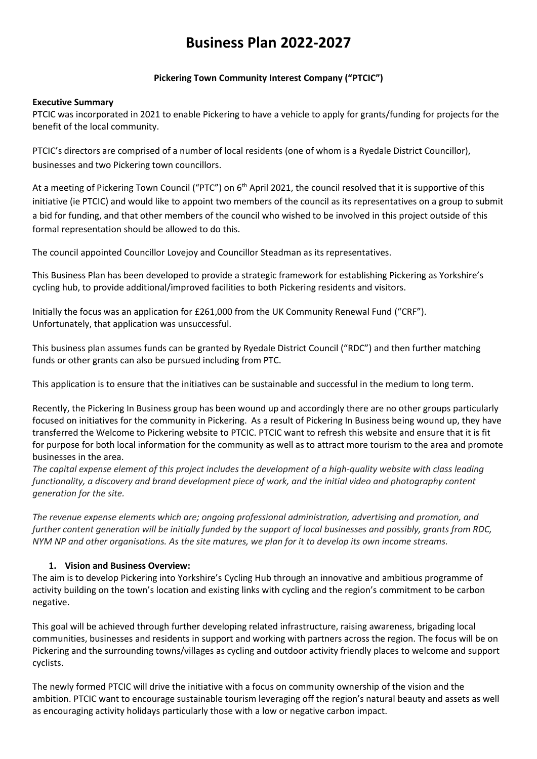# **Business Plan 2022-2027**

## **Pickering Town Community Interest Company ("PTCIC")**

#### **Executive Summary**

PTCIC was incorporated in 2021 to enable Pickering to have a vehicle to apply for grants/funding for projects for the benefit of the local community.

PTCIC's directors are comprised of a number of local residents (one of whom is a Ryedale District Councillor), businesses and two Pickering town councillors.

At a meeting of Pickering Town Council ("PTC") on 6<sup>th</sup> April 2021, the council resolved that it is supportive of this initiative (ie PTCIC) and would like to appoint two members of the council as its representatives on a group to submit a bid for funding, and that other members of the council who wished to be involved in this project outside of this formal representation should be allowed to do this.

The council appointed Councillor Lovejoy and Councillor Steadman as its representatives.

This Business Plan has been developed to provide a strategic framework for establishing Pickering as Yorkshire's cycling hub, to provide additional/improved facilities to both Pickering residents and visitors.

Initially the focus was an application for £261,000 from the UK Community Renewal Fund ("CRF"). Unfortunately, that application was unsuccessful.

This business plan assumes funds can be granted by Ryedale District Council ("RDC") and then further matching funds or other grants can also be pursued including from PTC.

This application is to ensure that the initiatives can be sustainable and successful in the medium to long term.

Recently, the Pickering In Business group has been wound up and accordingly there are no other groups particularly focused on initiatives for the community in Pickering. As a result of Pickering In Business being wound up, they have transferred the Welcome to Pickering website to PTCIC. PTCIC want to refresh this website and ensure that it is fit for purpose for both local information for the community as well as to attract more tourism to the area and promote businesses in the area.

*The capital expense element of this project includes the development of a high-quality website with class leading functionality, a discovery and brand development piece of work, and the initial video and photography content generation for the site.*

*The revenue expense elements which are; ongoing professional administration, advertising and promotion, and further content generation will be initially funded by the support of local businesses and possibly, grants from RDC, NYM NP and other organisations. As the site matures, we plan for it to develop its own income streams.*

#### **1. Vision and Business Overview:**

The aim is to develop Pickering into Yorkshire's Cycling Hub through an innovative and ambitious programme of activity building on the town's location and existing links with cycling and the region's commitment to be carbon negative.

This goal will be achieved through further developing related infrastructure, raising awareness, brigading local communities, businesses and residents in support and working with partners across the region. The focus will be on Pickering and the surrounding towns/villages as cycling and outdoor activity friendly places to welcome and support cyclists.

The newly formed PTCIC will drive the initiative with a focus on community ownership of the vision and the ambition. PTCIC want to encourage sustainable tourism leveraging off the region's natural beauty and assets as well as encouraging activity holidays particularly those with a low or negative carbon impact.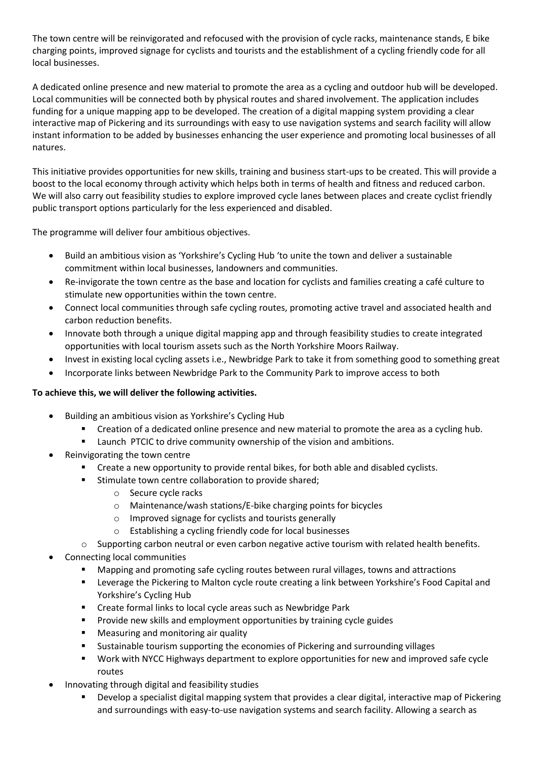The town centre will be reinvigorated and refocused with the provision of cycle racks, maintenance stands, E bike charging points, improved signage for cyclists and tourists and the establishment of a cycling friendly code for all local businesses.

A dedicated online presence and new material to promote the area as a cycling and outdoor hub will be developed. Local communities will be connected both by physical routes and shared involvement. The application includes funding for a unique mapping app to be developed. The creation of a digital mapping system providing a clear interactive map of Pickering and its surroundings with easy to use navigation systems and search facility will allow instant information to be added by businesses enhancing the user experience and promoting local businesses of all natures.

This initiative provides opportunities for new skills, training and business start-ups to be created. This will provide a boost to the local economy through activity which helps both in terms of health and fitness and reduced carbon. We will also carry out feasibility studies to explore improved cycle lanes between places and create cyclist friendly public transport options particularly for the less experienced and disabled.

The programme will deliver four ambitious objectives.

- Build an ambitious vision as 'Yorkshire's Cycling Hub 'to unite the town and deliver a sustainable commitment within local businesses, landowners and communities.
- Re-invigorate the town centre as the base and location for cyclists and families creating a café culture to stimulate new opportunities within the town centre.
- Connect local communities through safe cycling routes, promoting active travel and associated health and carbon reduction benefits.
- Innovate both through a unique digital mapping app and through feasibility studies to create integrated opportunities with local tourism assets such as the North Yorkshire Moors Railway.
- Invest in existing local cycling assets i.e., Newbridge Park to take it from something good to something great
- Incorporate links between Newbridge Park to the Community Park to improve access to both

## **To achieve this, we will deliver the following activities.**

- Building an ambitious vision as Yorkshire's Cycling Hub
	- Creation of a dedicated online presence and new material to promote the area as a cycling hub.
	- Launch PTCIC to drive community ownership of the vision and ambitions.
- Reinvigorating the town centre
	- Create a new opportunity to provide rental bikes, for both able and disabled cyclists.
	- Stimulate town centre collaboration to provide shared:
		- o Secure cycle racks
		- o Maintenance/wash stations/E-bike charging points for bicycles
		- o Improved signage for cyclists and tourists generally
		- o Establishing a cycling friendly code for local businesses
	- $\circ$  Supporting carbon neutral or even carbon negative active tourism with related health benefits.
- Connecting local communities
	- Mapping and promoting safe cycling routes between rural villages, towns and attractions
	- Leverage the Pickering to Malton cycle route creating a link between Yorkshire's Food Capital and Yorkshire's Cycling Hub
	- **EXP** Create formal links to local cycle areas such as Newbridge Park
	- **Provide new skills and employment opportunities by training cycle guides**
	- **Measuring and monitoring air quality**
	- Sustainable tourism supporting the economies of Pickering and surrounding villages
	- Work with NYCC Highways department to explore opportunities for new and improved safe cycle routes
- Innovating through digital and feasibility studies
	- Develop a specialist digital mapping system that provides a clear digital, interactive map of Pickering and surroundings with easy-to-use navigation systems and search facility. Allowing a search as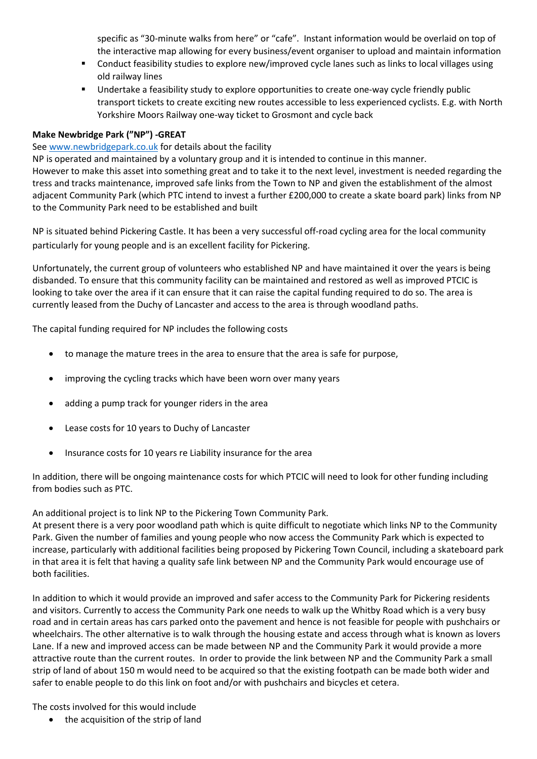specific as "30-minute walks from here" or "cafe". Instant information would be overlaid on top of the interactive map allowing for every business/event organiser to upload and maintain information

- **•** Conduct feasibility studies to explore new/improved cycle lanes such as links to local villages using old railway lines
- Undertake a feasibility study to explore opportunities to create one-way cycle friendly public transport tickets to create exciting new routes accessible to less experienced cyclists. E.g. with North Yorkshire Moors Railway one-way ticket to Grosmont and cycle back

## **Make Newbridge Park ("NP") -GREAT**

## Se[e www.newbridgepark.co.uk](http://www.newbridgepark.co.uk/) for details about the facility

NP is operated and maintained by a voluntary group and it is intended to continue in this manner. However to make this asset into something great and to take it to the next level, investment is needed regarding the tress and tracks maintenance, improved safe links from the Town to NP and given the establishment of the almost adjacent Community Park (which PTC intend to invest a further £200,000 to create a skate board park) links from NP to the Community Park need to be established and built

NP is situated behind Pickering Castle. It has been a very successful off-road cycling area for the local community particularly for young people and is an excellent facility for Pickering.

Unfortunately, the current group of volunteers who established NP and have maintained it over the years is being disbanded. To ensure that this community facility can be maintained and restored as well as improved PTCIC is looking to take over the area if it can ensure that it can raise the capital funding required to do so. The area is currently leased from the Duchy of Lancaster and access to the area is through woodland paths.

The capital funding required for NP includes the following costs

- to manage the mature trees in the area to ensure that the area is safe for purpose,
- improving the cycling tracks which have been worn over many years
- adding a pump track for younger riders in the area
- Lease costs for 10 years to Duchy of Lancaster
- Insurance costs for 10 years re Liability insurance for the area

In addition, there will be ongoing maintenance costs for which PTCIC will need to look for other funding including from bodies such as PTC.

An additional project is to link NP to the Pickering Town Community Park.

At present there is a very poor woodland path which is quite difficult to negotiate which links NP to the Community Park. Given the number of families and young people who now access the Community Park which is expected to increase, particularly with additional facilities being proposed by Pickering Town Council, including a skateboard park in that area it is felt that having a quality safe link between NP and the Community Park would encourage use of both facilities.

In addition to which it would provide an improved and safer access to the Community Park for Pickering residents and visitors. Currently to access the Community Park one needs to walk up the Whitby Road which is a very busy road and in certain areas has cars parked onto the pavement and hence is not feasible for people with pushchairs or wheelchairs. The other alternative is to walk through the housing estate and access through what is known as lovers Lane. If a new and improved access can be made between NP and the Community Park it would provide a more attractive route than the current routes. In order to provide the link between NP and the Community Park a small strip of land of about 150 m would need to be acquired so that the existing footpath can be made both wider and safer to enable people to do this link on foot and/or with pushchairs and bicycles et cetera.

The costs involved for this would include

• the acquisition of the strip of land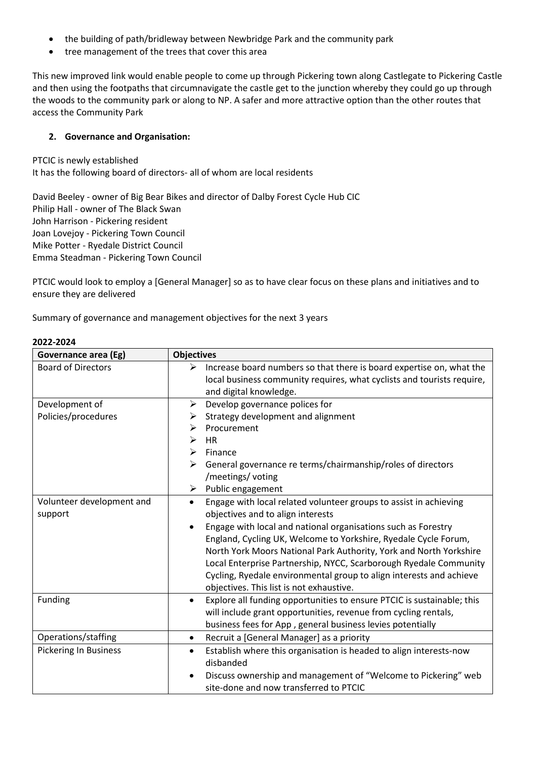- the building of path/bridleway between Newbridge Park and the community park
- tree management of the trees that cover this area

This new improved link would enable people to come up through Pickering town along Castlegate to Pickering Castle and then using the footpaths that circumnavigate the castle get to the junction whereby they could go up through the woods to the community park or along to NP. A safer and more attractive option than the other routes that access the Community Park

# **2. Governance and Organisation:**

PTCIC is newly established It has the following board of directors- all of whom are local residents

David Beeley - owner of Big Bear Bikes and director of Dalby Forest Cycle Hub CIC Philip Hall - owner of The Black Swan John Harrison - Pickering resident Joan Lovejoy - Pickering Town Council Mike Potter - Ryedale District Council Emma Steadman - Pickering Town Council

PTCIC would look to employ a [General Manager] so as to have clear focus on these plans and initiatives and to ensure they are delivered

Summary of governance and management objectives for the next 3 years

| Governance area (Eg)         | <b>Objectives</b>                                                                                                                                   |
|------------------------------|-----------------------------------------------------------------------------------------------------------------------------------------------------|
| <b>Board of Directors</b>    | Increase board numbers so that there is board expertise on, what the<br>➤<br>local business community requires, what cyclists and tourists require, |
|                              | and digital knowledge.                                                                                                                              |
| Development of               | Develop governance polices for<br>➤                                                                                                                 |
| Policies/procedures          | Strategy development and alignment<br>➤                                                                                                             |
|                              | Procurement<br>➤                                                                                                                                    |
|                              | <b>HR</b><br>≻                                                                                                                                      |
|                              | ➤<br>Finance                                                                                                                                        |
|                              | General governance re terms/chairmanship/roles of directors<br>≻                                                                                    |
|                              | /meetings/ voting                                                                                                                                   |
|                              | Public engagement<br>➤                                                                                                                              |
| Volunteer development and    | Engage with local related volunteer groups to assist in achieving<br>$\bullet$                                                                      |
| support                      | objectives and to align interests                                                                                                                   |
|                              | Engage with local and national organisations such as Forestry                                                                                       |
|                              | England, Cycling UK, Welcome to Yorkshire, Ryedale Cycle Forum,                                                                                     |
|                              | North York Moors National Park Authority, York and North Yorkshire                                                                                  |
|                              | Local Enterprise Partnership, NYCC, Scarborough Ryedale Community                                                                                   |
|                              | Cycling, Ryedale environmental group to align interests and achieve                                                                                 |
|                              | objectives. This list is not exhaustive.                                                                                                            |
| Funding                      | Explore all funding opportunities to ensure PTCIC is sustainable; this<br>$\bullet$                                                                 |
|                              | will include grant opportunities, revenue from cycling rentals,                                                                                     |
|                              | business fees for App, general business levies potentially                                                                                          |
| Operations/staffing          | Recruit a [General Manager] as a priority<br>$\bullet$                                                                                              |
| <b>Pickering In Business</b> | Establish where this organisation is headed to align interests-now<br>$\bullet$<br>disbanded                                                        |
|                              | Discuss ownership and management of "Welcome to Pickering" web                                                                                      |
|                              | site-done and now transferred to PTCIC                                                                                                              |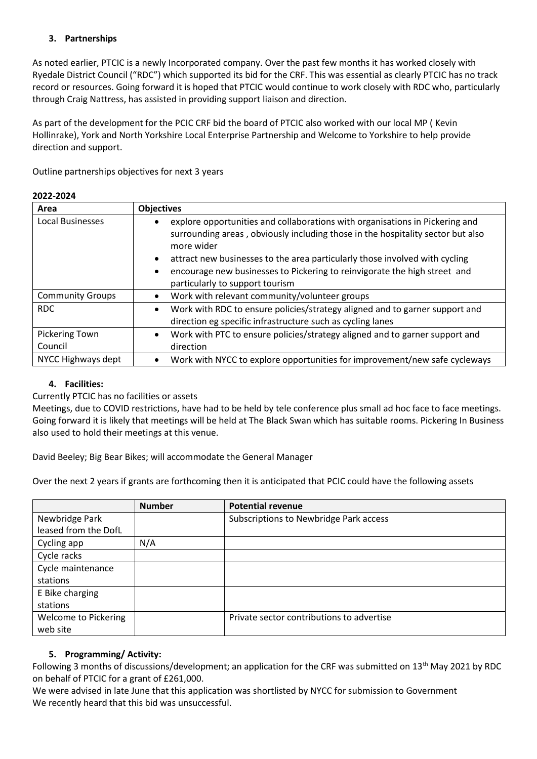# **3. Partnerships**

As noted earlier, PTCIC is a newly Incorporated company. Over the past few months it has worked closely with Ryedale District Council ("RDC") which supported its bid for the CRF. This was essential as clearly PTCIC has no track record or resources. Going forward it is hoped that PTCIC would continue to work closely with RDC who, particularly through Craig Nattress, has assisted in providing support liaison and direction.

As part of the development for the PCIC CRF bid the board of PTCIC also worked with our local MP ( Kevin Hollinrake), York and North Yorkshire Local Enterprise Partnership and Welcome to Yorkshire to help provide direction and support.

Outline partnerships objectives for next 3 years

## **2022-2024**

| Area                      | <b>Objectives</b>                                                                                                                                                                                                                                                                                                                                                                                      |  |
|---------------------------|--------------------------------------------------------------------------------------------------------------------------------------------------------------------------------------------------------------------------------------------------------------------------------------------------------------------------------------------------------------------------------------------------------|--|
| <b>Local Businesses</b>   | explore opportunities and collaborations with organisations in Pickering and<br>surrounding areas, obviously including those in the hospitality sector but also<br>more wider<br>attract new businesses to the area particularly those involved with cycling<br>$\bullet$<br>encourage new businesses to Pickering to reinvigorate the high street and<br>$\bullet$<br>particularly to support tourism |  |
| <b>Community Groups</b>   | Work with relevant community/volunteer groups                                                                                                                                                                                                                                                                                                                                                          |  |
| RDC                       | Work with RDC to ensure policies/strategy aligned and to garner support and<br>٠<br>direction eg specific infrastructure such as cycling lanes                                                                                                                                                                                                                                                         |  |
| Pickering Town<br>Council | Work with PTC to ensure policies/strategy aligned and to garner support and<br>$\bullet$<br>direction                                                                                                                                                                                                                                                                                                  |  |
| NYCC Highways dept        | Work with NYCC to explore opportunities for improvement/new safe cycleways<br>٠                                                                                                                                                                                                                                                                                                                        |  |

## **4. Facilities:**

## Currently PTCIC has no facilities or assets

Meetings, due to COVID restrictions, have had to be held by tele conference plus small ad hoc face to face meetings. Going forward it is likely that meetings will be held at The Black Swan which has suitable rooms. Pickering In Business also used to hold their meetings at this venue.

David Beeley; Big Bear Bikes; will accommodate the General Manager

Over the next 2 years if grants are forthcoming then it is anticipated that PCIC could have the following assets

|                             | <b>Number</b> | <b>Potential revenue</b>                  |
|-----------------------------|---------------|-------------------------------------------|
| Newbridge Park              |               | Subscriptions to Newbridge Park access    |
| leased from the DofL        |               |                                           |
| Cycling app                 | N/A           |                                           |
| Cycle racks                 |               |                                           |
| Cycle maintenance           |               |                                           |
| stations                    |               |                                           |
| E Bike charging             |               |                                           |
| stations                    |               |                                           |
| <b>Welcome to Pickering</b> |               | Private sector contributions to advertise |
| web site                    |               |                                           |

## **5. Programming/ Activity:**

Following 3 months of discussions/development; an application for the CRF was submitted on 13<sup>th</sup> May 2021 by RDC on behalf of PTCIC for a grant of £261,000.

We were advised in late June that this application was shortlisted by NYCC for submission to Government We recently heard that this bid was unsuccessful.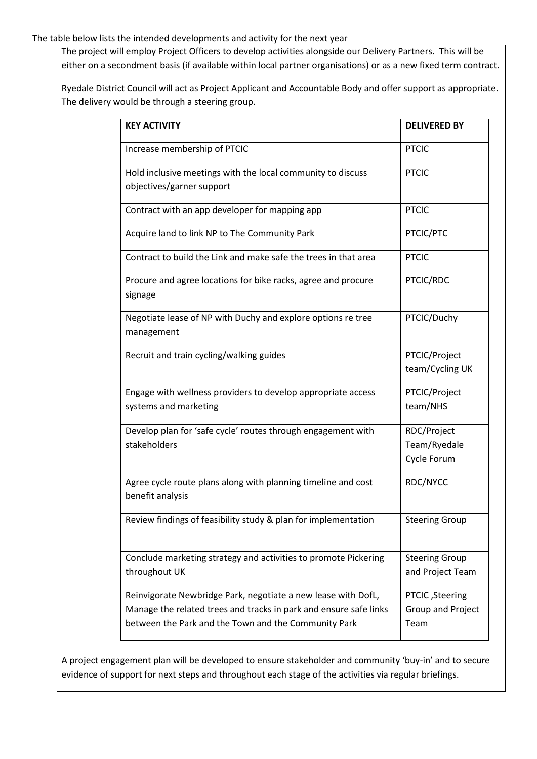#### The table below lists the intended developments and activity for the next year

The project will employ Project Officers to develop activities alongside our Delivery Partners. This will be either on a secondment basis (if available within local partner organisations) or as a new fixed term contract.

Ryedale District Council will act as Project Applicant and Accountable Body and offer support as appropriate. The delivery would be through a steering group.

| <b>KEY ACTIVITY</b>                                                                                                                                                                        | <b>DELIVERED BY</b>                          |
|--------------------------------------------------------------------------------------------------------------------------------------------------------------------------------------------|----------------------------------------------|
| Increase membership of PTCIC                                                                                                                                                               | <b>PTCIC</b>                                 |
| Hold inclusive meetings with the local community to discuss<br>objectives/garner support                                                                                                   | <b>PTCIC</b>                                 |
| Contract with an app developer for mapping app                                                                                                                                             | <b>PTCIC</b>                                 |
| Acquire land to link NP to The Community Park                                                                                                                                              | PTCIC/PTC                                    |
| Contract to build the Link and make safe the trees in that area                                                                                                                            | <b>PTCIC</b>                                 |
| Procure and agree locations for bike racks, agree and procure<br>signage                                                                                                                   | PTCIC/RDC                                    |
| Negotiate lease of NP with Duchy and explore options re tree<br>management                                                                                                                 | PTCIC/Duchy                                  |
| Recruit and train cycling/walking guides                                                                                                                                                   | PTCIC/Project<br>team/Cycling UK             |
| Engage with wellness providers to develop appropriate access<br>systems and marketing                                                                                                      | PTCIC/Project<br>team/NHS                    |
| Develop plan for 'safe cycle' routes through engagement with<br>stakeholders                                                                                                               | RDC/Project<br>Team/Ryedale<br>Cycle Forum   |
| Agree cycle route plans along with planning timeline and cost<br>benefit analysis                                                                                                          | RDC/NYCC                                     |
| Review findings of feasibility study & plan for implementation                                                                                                                             | <b>Steering Group</b>                        |
| Conclude marketing strategy and activities to promote Pickering<br>throughout UK                                                                                                           | <b>Steering Group</b><br>and Project Team    |
| Reinvigorate Newbridge Park, negotiate a new lease with DofL,<br>Manage the related trees and tracks in park and ensure safe links<br>between the Park and the Town and the Community Park | PTCIC, Steering<br>Group and Project<br>Team |

A project engagement plan will be developed to ensure stakeholder and community 'buy-in' and to secure evidence of support for next steps and throughout each stage of the activities via regular briefings.